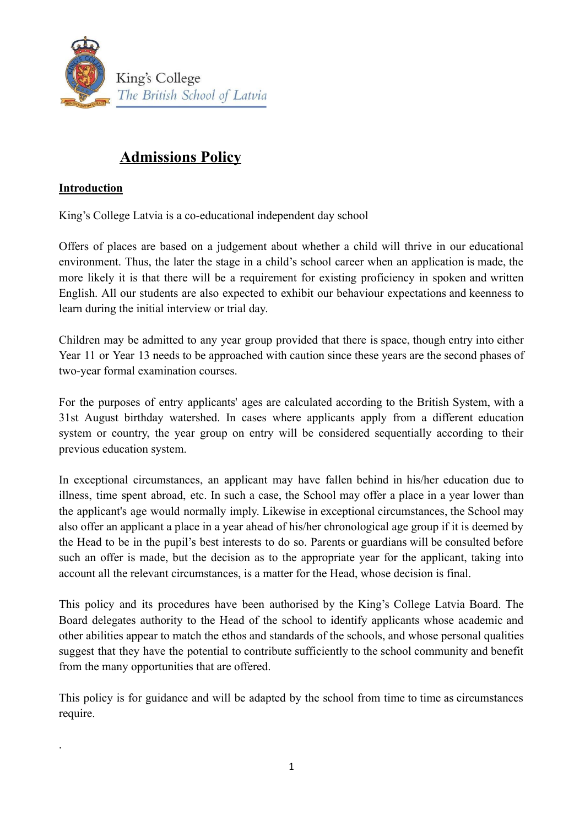

# **Admissions Policy**

## **Introduction**

.

King's College Latvia is a co-educational independent day school

Offers of places are based on a judgement about whether a child will thrive in our educational environment. Thus, the later the stage in a child's school career when an application is made, the more likely it is that there will be a requirement for existing proficiency in spoken and written English. All our students are also expected to exhibit our behaviour expectations and keenness to learn during the initial interview or trial day.

Children may be admitted to any year group provided that there is space, though entry into either Year 11 or Year 13 needs to be approached with caution since these years are the second phases of two-year formal examination courses.

For the purposes of entry applicants' ages are calculated according to the British System, with a 31st August birthday watershed. In cases where applicants apply from a different education system or country, the year group on entry will be considered sequentially according to their previous education system.

In exceptional circumstances, an applicant may have fallen behind in his/her education due to illness, time spent abroad, etc. In such a case, the School may offer a place in a year lower than the applicant's age would normally imply. Likewise in exceptional circumstances, the School may also offer an applicant a place in a year ahead of his/her chronological age group if it is deemed by the Head to be in the pupil's best interests to do so. Parents or guardians will be consulted before such an offer is made, but the decision as to the appropriate year for the applicant, taking into account all the relevant circumstances, is a matter for the Head, whose decision is final.

This policy and its procedures have been authorised by the King's College Latvia Board. The Board delegates authority to the Head of the school to identify applicants whose academic and other abilities appear to match the ethos and standards of the schools, and whose personal qualities suggest that they have the potential to contribute sufficiently to the school community and benefit from the many opportunities that are offered.

This policy is for guidance and will be adapted by the school from time to time as circumstances require.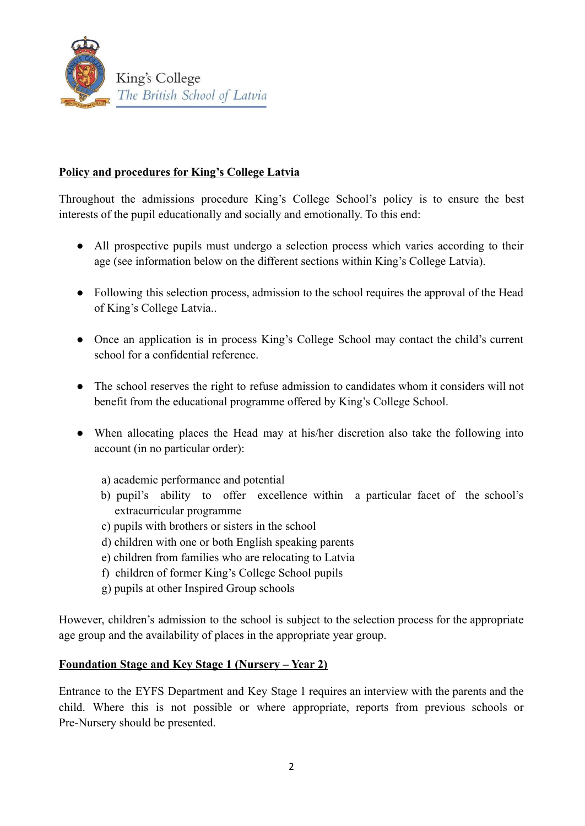

#### **Policy and procedures for King's College Latvia**

Throughout the admissions procedure King's College School's policy is to ensure the best interests of the pupil educationally and socially and emotionally. To this end:

- All prospective pupils must undergo a selection process which varies according to their age (see information below on the different sections within King's College Latvia).
- Following this selection process, admission to the school requires the approval of the Head of King's College Latvia..
- Once an application is in process King's College School may contact the child's current school for a confidential reference.
- The school reserves the right to refuse admission to candidates whom it considers will not benefit from the educational programme offered by King's College School.
- When allocating places the Head may at his/her discretion also take the following into account (in no particular order):

a) academic performance and potential

- b) pupil's ability to offer excellence within a particular facet of the school's extracurricular programme
- c) pupils with brothers or sisters in the school
- d) children with one or both English speaking parents
- e) children from families who are relocating to Latvia
- f) children of former King's College School pupils
- g) pupils at other Inspired Group schools

However, children's admission to the school is subject to the selection process for the appropriate age group and the availability of places in the appropriate year group.

#### **Foundation Stage and Key Stage 1 (Nursery – Year 2)**

Entrance to the EYFS Department and Key Stage 1 requires an interview with the parents and the child. Where this is not possible or where appropriate, reports from previous schools or Pre-Nursery should be presented.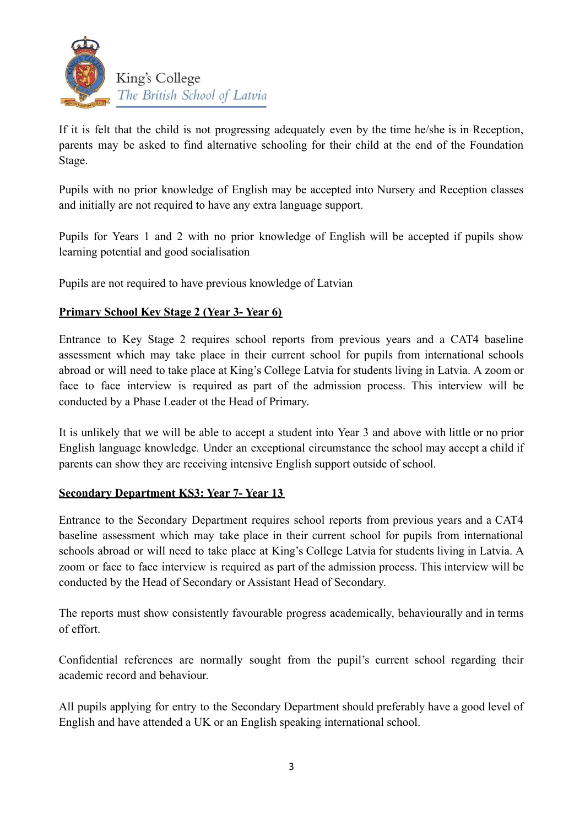

If it is felt that the child is not progressing adequately even by the time he/she is in Reception, parents may be asked to find alternative schooling for their child at the end of the Foundation Stage.

Pupils with no prior knowledge of English may be accepted into Nursery and Reception classes and initially are not required to have any extra language support.

Pupils for Years 1 and 2 with no prior knowledge of English will be accepted if pupils show learning potential and good socialisation

Pupils are not required to have previous knowledge of Latvian

## **Primary School Key Stage 2 (Year 3- Year 6)**

Entrance to Key Stage 2 requires school reports from previous years and a CAT4 baseline assessment which may take place in their current school for pupils from international schools abroad or will need to take place at King's College Latvia for students living in Latvia. A zoom or face to face interview is required as part of the admission process. This interview will be conducted by a Phase Leader ot the Head of Primary.

It is unlikely that we will be able to accept a student into Year 3 and above with little or no prior English language knowledge. Under an exceptional circumstance the school may accept a child if parents can show they are receiving intensive English support outside of school.

#### **Secondary Department KS3: Year 7- Year 13**

Entrance to the Secondary Department requires school reports from previous years and a CAT4 baseline assessment which may take place in their current school for pupils from international schools abroad or will need to take place at King's College Latvia for students living in Latvia. A zoom or face to face interview is required as part of the admission process. This interview will be conducted by the Head of Secondary or Assistant Head of Secondary.

The reports must show consistently favourable progress academically, behaviourally and in terms of effort.

Confidential references are normally sought from the pupil's current school regarding their academic record and behaviour.

All pupils applying for entry to the Secondary Department should preferably have a good level of English and have attended a UK or an English speaking international school.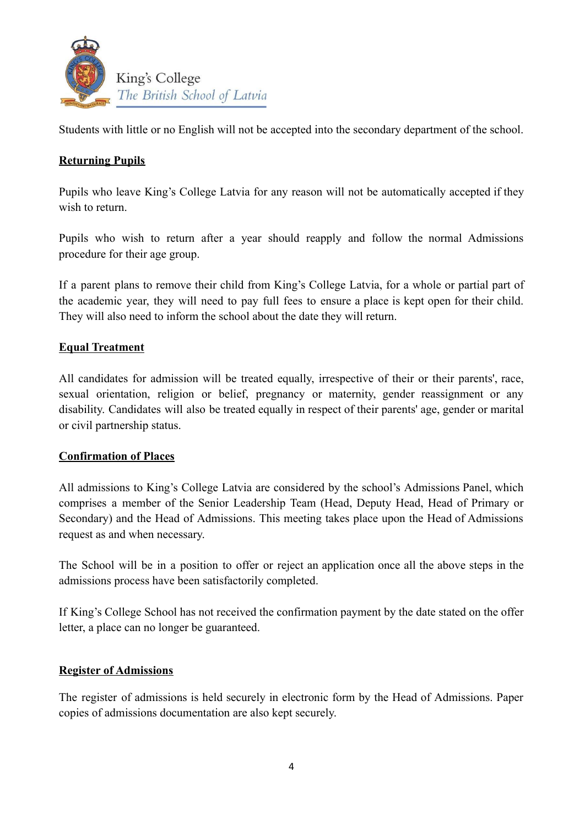

Students with little or no English will not be accepted into the secondary department of the school.

## **Returning Pupils**

Pupils who leave King's College Latvia for any reason will not be automatically accepted if they wish to return.

Pupils who wish to return after a year should reapply and follow the normal Admissions procedure for their age group.

If a parent plans to remove their child from King's College Latvia, for a whole or partial part of the academic year, they will need to pay full fees to ensure a place is kept open for their child. They will also need to inform the school about the date they will return.

## **Equal Treatment**

All candidates for admission will be treated equally, irrespective of their or their parents', race, sexual orientation, religion or belief, pregnancy or maternity, gender reassignment or any disability. Candidates will also be treated equally in respect of their parents' age, gender or marital or civil partnership status.

#### **Confirmation of Places**

All admissions to King's College Latvia are considered by the school's Admissions Panel, which comprises a member of the Senior Leadership Team (Head, Deputy Head, Head of Primary or Secondary) and the Head of Admissions. This meeting takes place upon the Head of Admissions request as and when necessary.

The School will be in a position to offer or reject an application once all the above steps in the admissions process have been satisfactorily completed.

If King's College School has not received the confirmation payment by the date stated on the offer letter, a place can no longer be guaranteed.

#### **Register of Admissions**

The register of admissions is held securely in electronic form by the Head of Admissions. Paper copies of admissions documentation are also kept securely.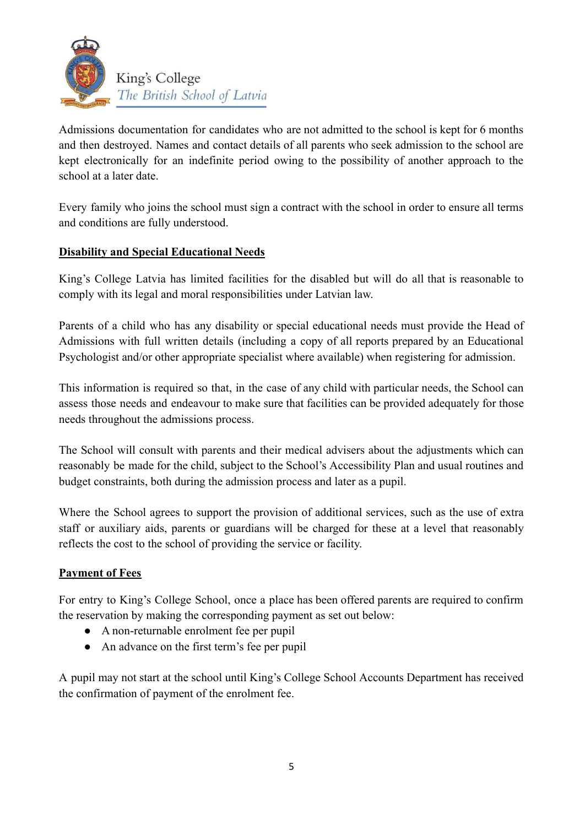

Admissions documentation for candidates who are not admitted to the school is kept for 6 months and then destroyed. Names and contact details of all parents who seek admission to the school are kept electronically for an indefinite period owing to the possibility of another approach to the school at a later date.

Every family who joins the school must sign a contract with the school in order to ensure all terms and conditions are fully understood.

## **Disability and Special Educational Needs**

King's College Latvia has limited facilities for the disabled but will do all that is reasonable to comply with its legal and moral responsibilities under Latvian law.

Parents of a child who has any disability or special educational needs must provide the Head of Admissions with full written details (including a copy of all reports prepared by an Educational Psychologist and/or other appropriate specialist where available) when registering for admission.

This information is required so that, in the case of any child with particular needs, the School can assess those needs and endeavour to make sure that facilities can be provided adequately for those needs throughout the admissions process.

The School will consult with parents and their medical advisers about the adjustments which can reasonably be made for the child, subject to the School's Accessibility Plan and usual routines and budget constraints, both during the admission process and later as a pupil.

Where the School agrees to support the provision of additional services, such as the use of extra staff or auxiliary aids, parents or guardians will be charged for these at a level that reasonably reflects the cost to the school of providing the service or facility.

#### **Payment of Fees**

For entry to King's College School, once a place has been offered parents are required to confirm the reservation by making the corresponding payment as set out below:

- A non-returnable enrolment fee per pupil
- An advance on the first term's fee per pupil

A pupil may not start at the school until King's College School Accounts Department has received the confirmation of payment of the enrolment fee.